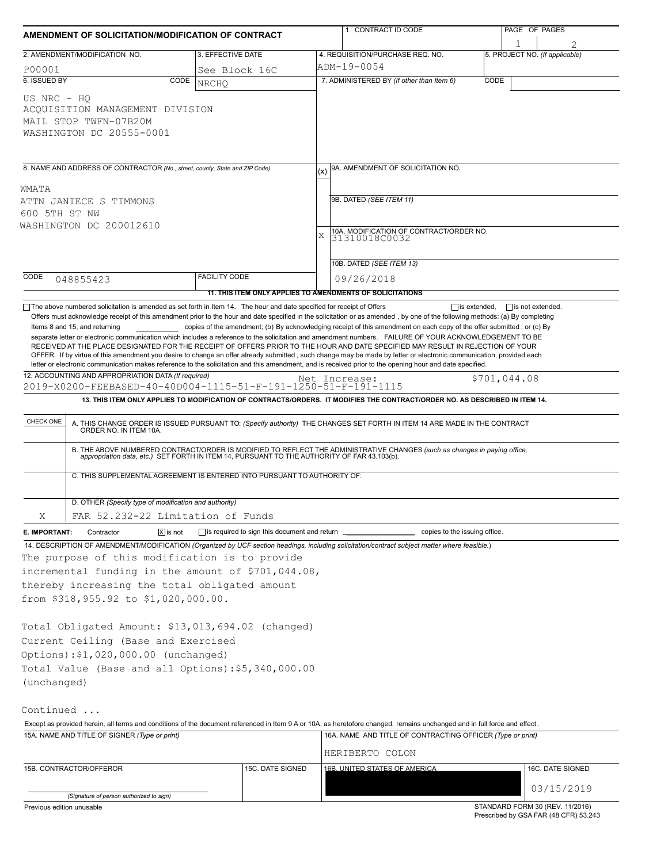| AMENDMENT OF SOLICITATION/MODIFICATION OF CONTRACT                                                                                                                                                                         |                                                                                                                                                                                               |                                                           |               | 1. CONTRACT ID CODE                                                                                                                                                                                                                                                                                                                                                                                                                                                                                                                                                                                                                                                                                                                                     |              | PAGE OF PAGES                               |  |  |  |
|----------------------------------------------------------------------------------------------------------------------------------------------------------------------------------------------------------------------------|-----------------------------------------------------------------------------------------------------------------------------------------------------------------------------------------------|-----------------------------------------------------------|---------------|---------------------------------------------------------------------------------------------------------------------------------------------------------------------------------------------------------------------------------------------------------------------------------------------------------------------------------------------------------------------------------------------------------------------------------------------------------------------------------------------------------------------------------------------------------------------------------------------------------------------------------------------------------------------------------------------------------------------------------------------------------|--------------|---------------------------------------------|--|--|--|
|                                                                                                                                                                                                                            | 2. AMENDMENT/MODIFICATION NO.                                                                                                                                                                 | 3. EFFECTIVE DATE                                         |               | 4. REQUISITION/PURCHASE REQ. NO.                                                                                                                                                                                                                                                                                                                                                                                                                                                                                                                                                                                                                                                                                                                        |              | 5. PROJECT NO. (If applicable)              |  |  |  |
| P00001                                                                                                                                                                                                                     |                                                                                                                                                                                               | See Block 16C                                             |               | ADM-19-0054                                                                                                                                                                                                                                                                                                                                                                                                                                                                                                                                                                                                                                                                                                                                             |              |                                             |  |  |  |
| 6. ISSUED BY                                                                                                                                                                                                               | CODE                                                                                                                                                                                          | <b>NRCHO</b>                                              |               | 7. ADMINISTERED BY (If other than Item 6)                                                                                                                                                                                                                                                                                                                                                                                                                                                                                                                                                                                                                                                                                                               | CODE         |                                             |  |  |  |
| US NRC - HO                                                                                                                                                                                                                | ACQUISITION MANAGEMENT DIVISION<br>MAIL STOP TWFN-07B20M<br>WASHINGTON DC 20555-0001                                                                                                          |                                                           |               |                                                                                                                                                                                                                                                                                                                                                                                                                                                                                                                                                                                                                                                                                                                                                         |              |                                             |  |  |  |
| 8. NAME AND ADDRESS OF CONTRACTOR (No., street, county, State and ZIP Code)                                                                                                                                                |                                                                                                                                                                                               |                                                           |               | 9A. AMENDMENT OF SOLICITATION NO.                                                                                                                                                                                                                                                                                                                                                                                                                                                                                                                                                                                                                                                                                                                       |              |                                             |  |  |  |
| WMATA                                                                                                                                                                                                                      |                                                                                                                                                                                               |                                                           |               |                                                                                                                                                                                                                                                                                                                                                                                                                                                                                                                                                                                                                                                                                                                                                         |              |                                             |  |  |  |
|                                                                                                                                                                                                                            | ATTN JANIECE S TIMMONS                                                                                                                                                                        |                                                           |               | 9B. DATED (SEE ITEM 11)                                                                                                                                                                                                                                                                                                                                                                                                                                                                                                                                                                                                                                                                                                                                 |              |                                             |  |  |  |
| 600 5TH ST NW                                                                                                                                                                                                              |                                                                                                                                                                                               |                                                           |               |                                                                                                                                                                                                                                                                                                                                                                                                                                                                                                                                                                                                                                                                                                                                                         |              |                                             |  |  |  |
|                                                                                                                                                                                                                            | WASHINGTON DC 200012610                                                                                                                                                                       |                                                           | X             | 10A. MODIFICATION OF CONTRACT/ORDER NO.                                                                                                                                                                                                                                                                                                                                                                                                                                                                                                                                                                                                                                                                                                                 |              |                                             |  |  |  |
|                                                                                                                                                                                                                            |                                                                                                                                                                                               |                                                           |               | 31310018C0032                                                                                                                                                                                                                                                                                                                                                                                                                                                                                                                                                                                                                                                                                                                                           |              |                                             |  |  |  |
|                                                                                                                                                                                                                            |                                                                                                                                                                                               |                                                           |               | 10B. DATED (SEE ITEM 13)                                                                                                                                                                                                                                                                                                                                                                                                                                                                                                                                                                                                                                                                                                                                |              |                                             |  |  |  |
| CODE                                                                                                                                                                                                                       |                                                                                                                                                                                               | <b>FACILITY CODE</b>                                      |               |                                                                                                                                                                                                                                                                                                                                                                                                                                                                                                                                                                                                                                                                                                                                                         |              |                                             |  |  |  |
|                                                                                                                                                                                                                            | 048855423                                                                                                                                                                                     |                                                           |               | 09/26/2018                                                                                                                                                                                                                                                                                                                                                                                                                                                                                                                                                                                                                                                                                                                                              |              |                                             |  |  |  |
|                                                                                                                                                                                                                            | $\Box$ The above numbered solicitation is amended as set forth in Item 14. The hour and date specified for receipt of Offers                                                                  | 11. THIS ITEM ONLY APPLIES TO AMENDMENTS OF SOLICITATIONS |               |                                                                                                                                                                                                                                                                                                                                                                                                                                                                                                                                                                                                                                                                                                                                                         |              | $\Box$ is extended, $\Box$ is not extended. |  |  |  |
|                                                                                                                                                                                                                            | Items 8 and 15, and returning                                                                                                                                                                 |                                                           |               | copies of the amendment; (b) By acknowledging receipt of this amendment on each copy of the offer submitted; or (c) By<br>separate letter or electronic communication which includes a reference to the solicitation and amendment numbers. FAILURE OF YOUR ACKNOWLEDGEMENT TO BE<br>RECEIVED AT THE PLACE DESIGNATED FOR THE RECEIPT OF OFFERS PRIOR TO THE HOUR AND DATE SPECIFIED MAY RESULT IN REJECTION OF YOUR<br>OFFER. If by virtue of this amendment you desire to change an offer already submitted, such change may be made by letter or electronic communication, provided each<br>letter or electronic communication makes reference to the solicitation and this amendment, and is received prior to the opening hour and date specified. |              |                                             |  |  |  |
|                                                                                                                                                                                                                            | 12. ACCOUNTING AND APPROPRIATION DATA (If required)<br>2019-X0200-FEEBASED-40-40D004-1115-51-F-191-1250-51-F-191-1115                                                                         |                                                           | Net Increase: |                                                                                                                                                                                                                                                                                                                                                                                                                                                                                                                                                                                                                                                                                                                                                         | \$701,044.08 |                                             |  |  |  |
|                                                                                                                                                                                                                            |                                                                                                                                                                                               |                                                           |               | 13. THIS ITEM ONLY APPLIES TO MODIFICATION OF CONTRACTS/ORDERS. IT MODIFIES THE CONTRACT/ORDER NO. AS DESCRIBED IN ITEM 14.                                                                                                                                                                                                                                                                                                                                                                                                                                                                                                                                                                                                                             |              |                                             |  |  |  |
|                                                                                                                                                                                                                            |                                                                                                                                                                                               |                                                           |               |                                                                                                                                                                                                                                                                                                                                                                                                                                                                                                                                                                                                                                                                                                                                                         |              |                                             |  |  |  |
| CHECK ONE                                                                                                                                                                                                                  |                                                                                                                                                                                               |                                                           |               | A. THIS CHANGE ORDER IS ISSUED PURSUANT TO: (Specify authority) THE CHANGES SET FORTH IN ITEM 14 ARE MADE IN THE CONTRACT ORDER NO. IN ITEM 10A.                                                                                                                                                                                                                                                                                                                                                                                                                                                                                                                                                                                                        |              |                                             |  |  |  |
|                                                                                                                                                                                                                            |                                                                                                                                                                                               |                                                           |               | B. THE ABOVE NUMBERED CONTRACT/ORDER IS MODIFIED TO REFLECT THE ADMINISTRATIVE CHANGES (such as changes in paying office,<br>appropriation data, etc.) SET FORTH IN ITEM 14, PURSUANT TO THE AUTHORITY OF FAR 43.103(b).                                                                                                                                                                                                                                                                                                                                                                                                                                                                                                                                |              |                                             |  |  |  |
|                                                                                                                                                                                                                            | C. THIS SUPPLEMENTAL AGREEMENT IS ENTERED INTO PURSUANT TO AUTHORITY OF:                                                                                                                      |                                                           |               |                                                                                                                                                                                                                                                                                                                                                                                                                                                                                                                                                                                                                                                                                                                                                         |              |                                             |  |  |  |
|                                                                                                                                                                                                                            | D. OTHER (Specify type of modification and authority)                                                                                                                                         |                                                           |               |                                                                                                                                                                                                                                                                                                                                                                                                                                                                                                                                                                                                                                                                                                                                                         |              |                                             |  |  |  |
| Χ                                                                                                                                                                                                                          | FAR 52.232-22 Limitation of Funds                                                                                                                                                             |                                                           |               |                                                                                                                                                                                                                                                                                                                                                                                                                                                                                                                                                                                                                                                                                                                                                         |              |                                             |  |  |  |
| E. IMPORTANT:                                                                                                                                                                                                              | $\sqrt{X}$ is not<br>Contractor                                                                                                                                                               | □ is required to sign this document and return □          |               | copies to the issuing office.                                                                                                                                                                                                                                                                                                                                                                                                                                                                                                                                                                                                                                                                                                                           |              |                                             |  |  |  |
|                                                                                                                                                                                                                            | The purpose of this modification is to provide<br>incremental funding in the amount of \$701,044.08,<br>thereby increasing the total obligated amount<br>from \$318,955.92 to \$1,020,000.00. |                                                           |               | 14. DESCRIPTION OF AMENDMENT/MODIFICATION (Organized by UCF section headings, including solicitation/contract subject matter where feasible.)                                                                                                                                                                                                                                                                                                                                                                                                                                                                                                                                                                                                           |              |                                             |  |  |  |
| (unchanged)                                                                                                                                                                                                                | Total Obligated Amount: \$13,013,694.02 (changed)<br>Current Ceiling (Base and Exercised<br>Options): \$1,020,000.00 (unchanged)<br>Total Value (Base and all Options): \$5,340,000.00        |                                                           |               |                                                                                                                                                                                                                                                                                                                                                                                                                                                                                                                                                                                                                                                                                                                                                         |              |                                             |  |  |  |
| Continued                                                                                                                                                                                                                  |                                                                                                                                                                                               |                                                           |               |                                                                                                                                                                                                                                                                                                                                                                                                                                                                                                                                                                                                                                                                                                                                                         |              |                                             |  |  |  |
| Except as provided herein, all terms and conditions of the document referenced in Item 9 A or 10A, as heretofore changed, remains unchanged and in full force and effect.<br>15A. NAME AND TITLE OF SIGNER (Type or print) |                                                                                                                                                                                               |                                                           |               | 16A. NAME AND TITLE OF CONTRACTING OFFICER (Type or print)                                                                                                                                                                                                                                                                                                                                                                                                                                                                                                                                                                                                                                                                                              |              |                                             |  |  |  |
|                                                                                                                                                                                                                            |                                                                                                                                                                                               |                                                           |               |                                                                                                                                                                                                                                                                                                                                                                                                                                                                                                                                                                                                                                                                                                                                                         |              |                                             |  |  |  |
|                                                                                                                                                                                                                            |                                                                                                                                                                                               |                                                           |               | HERIBERTO COLON                                                                                                                                                                                                                                                                                                                                                                                                                                                                                                                                                                                                                                                                                                                                         |              |                                             |  |  |  |
|                                                                                                                                                                                                                            | 15B. CONTRACTOR/OFFEROR                                                                                                                                                                       | 15C. DATE SIGNED                                          |               | 16B. UNITED STATES OF AMERICA                                                                                                                                                                                                                                                                                                                                                                                                                                                                                                                                                                                                                                                                                                                           |              | 16C. DATE SIGNED                            |  |  |  |
|                                                                                                                                                                                                                            |                                                                                                                                                                                               |                                                           |               |                                                                                                                                                                                                                                                                                                                                                                                                                                                                                                                                                                                                                                                                                                                                                         |              | 03/15/2019                                  |  |  |  |
| Previous edition unusable                                                                                                                                                                                                  | (Signature of person authorized to sign)                                                                                                                                                      |                                                           |               |                                                                                                                                                                                                                                                                                                                                                                                                                                                                                                                                                                                                                                                                                                                                                         |              | STANDARD FORM 30 (REV. 11/2016)             |  |  |  |
|                                                                                                                                                                                                                            |                                                                                                                                                                                               |                                                           |               |                                                                                                                                                                                                                                                                                                                                                                                                                                                                                                                                                                                                                                                                                                                                                         |              |                                             |  |  |  |

Prescribed by GSA FAR (48 CFR) 53.243